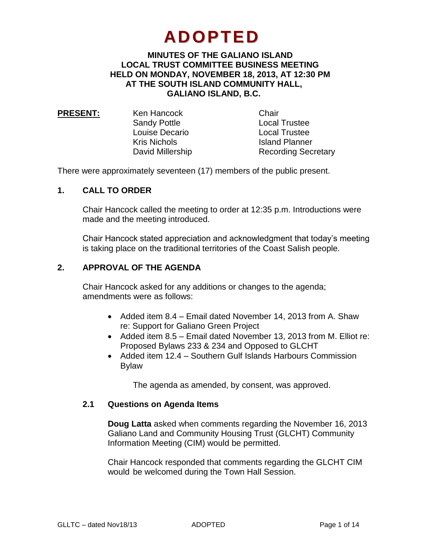# **ADOPTED**

## **MINUTES OF THE GALIANO ISLAND LOCAL TRUST COMMITTEE BUSINESS MEETING HELD ON MONDAY, NOVEMBER 18, 2013, AT 12:30 PM AT THE SOUTH ISLAND COMMUNITY HALL, GALIANO ISLAND, B.C.**

| <b>PRESENT:</b> | Ken Hancock         | Chair  |
|-----------------|---------------------|--------|
|                 | <b>Sandy Pottle</b> | Local  |
|                 | Louise Decario      | Local  |
|                 | <b>Kris Nichols</b> | Island |
|                 | David Millership    | Reco   |
|                 |                     |        |

Local Trustee Local Trustee **Island Planner Recording Secretary** 

There were approximately seventeen (17) members of the public present.

# **1. CALL TO ORDER**

Chair Hancock called the meeting to order at 12:35 p.m. Introductions were made and the meeting introduced.

Chair Hancock stated appreciation and acknowledgment that today's meeting is taking place on the traditional territories of the Coast Salish people.

# **2. APPROVAL OF THE AGENDA**

Chair Hancock asked for any additions or changes to the agenda; amendments were as follows:

- Added item 8.4 *–* Email dated November 14, 2013 from A. Shaw re: Support for Galiano Green Project
- Added item 8.5 *–* Email dated November 13, 2013 from M. Elliot re: Proposed Bylaws 233 & 234 and Opposed to GLCHT
- Added item 12.4 Southern Gulf Islands Harbours Commission Bylaw

The agenda as amended, by consent, was approved.

## **2.1 Questions on Agenda Items**

**Doug Latta** asked when comments regarding the November 16, 2013 Galiano Land and Community Housing Trust (GLCHT) Community Information Meeting (CIM) would be permitted.

Chair Hancock responded that comments regarding the GLCHT CIM would be welcomed during the Town Hall Session.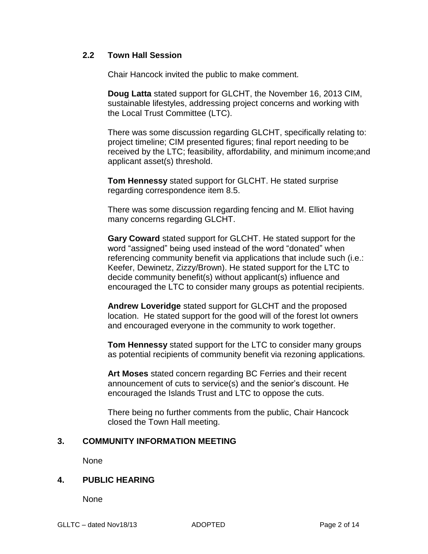# **2.2 Town Hall Session**

Chair Hancock invited the public to make comment.

**Doug Latta** stated support for GLCHT, the November 16, 2013 CIM, sustainable lifestyles, addressing project concerns and working with the Local Trust Committee (LTC).

There was some discussion regarding GLCHT, specifically relating to: project timeline; CIM presented figures; final report needing to be received by the LTC; feasibility, affordability, and minimum income;and applicant asset(s) threshold.

**Tom Hennessy** stated support for GLCHT. He stated surprise regarding correspondence item 8.5.

There was some discussion regarding fencing and M. Elliot having many concerns regarding GLCHT.

**Gary Coward** stated support for GLCHT. He stated support for the word "assigned" being used instead of the word "donated" when referencing community benefit via applications that include such (i.e.: Keefer, Dewinetz, Zizzy/Brown). He stated support for the LTC to decide community benefit(s) without applicant(s) influence and encouraged the LTC to consider many groups as potential recipients.

**Andrew Loveridge** stated support for GLCHT and the proposed location. He stated support for the good will of the forest lot owners and encouraged everyone in the community to work together.

**Tom Hennessy** stated support for the LTC to consider many groups as potential recipients of community benefit via rezoning applications.

**Art Moses** stated concern regarding BC Ferries and their recent announcement of cuts to service(s) and the senior's discount. He encouraged the Islands Trust and LTC to oppose the cuts.

There being no further comments from the public, Chair Hancock closed the Town Hall meeting.

## **3. COMMUNITY INFORMATION MEETING**

None

## **4. PUBLIC HEARING**

None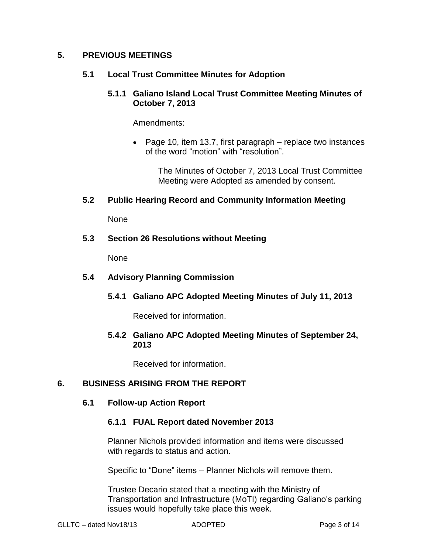# **5. PREVIOUS MEETINGS**

# **5.1 Local Trust Committee Minutes for Adoption**

## **5.1.1 Galiano Island Local Trust Committee Meeting Minutes of October 7, 2013**

Amendments:

• Page 10, item 13.7, first paragraph  $-$  replace two instances of the word "motion" with "resolution".

> The Minutes of October 7, 2013 Local Trust Committee Meeting were Adopted as amended by consent.

# **5.2 Public Hearing Record and Community Information Meeting**

None

# **5.3 Section 26 Resolutions without Meeting**

None

# **5.4 Advisory Planning Commission**

**5.4.1 Galiano APC Adopted Meeting Minutes of July 11, 2013**

Received for information.

# **5.4.2 Galiano APC Adopted Meeting Minutes of September 24, 2013**

Received for information.

# **6. BUSINESS ARISING FROM THE REPORT**

## **6.1 Follow-up Action Report**

## **6.1.1 FUAL Report dated November 2013**

Planner Nichols provided information and items were discussed with regards to status and action.

Specific to "Done" items – Planner Nichols will remove them.

Trustee Decario stated that a meeting with the Ministry of Transportation and Infrastructure (MoTI) regarding Galiano's parking issues would hopefully take place this week.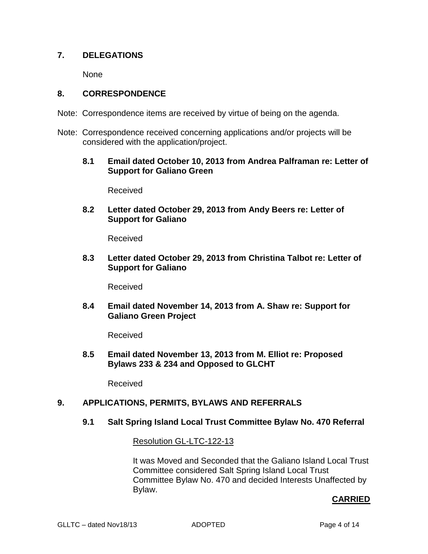## **7. DELEGATIONS**

None

## **8. CORRESPONDENCE**

- Note: Correspondence items are received by virtue of being on the agenda.
- Note: Correspondence received concerning applications and/or projects will be considered with the application/project.

## **8.1 Email dated October 10, 2013 from Andrea Palframan re: Letter of Support for Galiano Green**

Received

**8.2 Letter dated October 29, 2013 from Andy Beers re: Letter of Support for Galiano**

Received

**8.3 Letter dated October 29, 2013 from Christina Talbot re: Letter of Support for Galiano**

Received

**8.4 Email dated November 14, 2013 from A. Shaw re: Support for Galiano Green Project**

Received

**8.5 Email dated November 13, 2013 from M. Elliot re: Proposed Bylaws 233 & 234 and Opposed to GLCHT**

Received

## **9. APPLICATIONS, PERMITS, BYLAWS AND REFERRALS**

#### **9.1 Salt Spring Island Local Trust Committee Bylaw No. 470 Referral**

#### Resolution GL-LTC-122-13

It was Moved and Seconded that the Galiano Island Local Trust Committee considered Salt Spring Island Local Trust Committee Bylaw No. 470 and decided Interests Unaffected by Bylaw.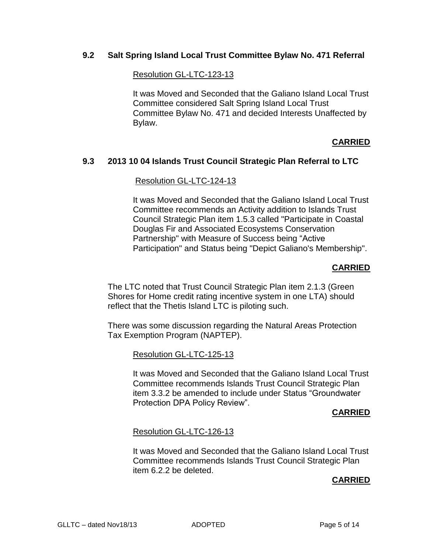# **9.2 Salt Spring Island Local Trust Committee Bylaw No. 471 Referral**

# Resolution GL-LTC-123-13

It was Moved and Seconded that the Galiano Island Local Trust Committee considered Salt Spring Island Local Trust Committee Bylaw No. 471 and decided Interests Unaffected by Bylaw.

# **CARRIED**

## **9.3 2013 10 04 Islands Trust Council Strategic Plan Referral to LTC**

## Resolution GL-LTC-124-13

It was Moved and Seconded that the Galiano Island Local Trust Committee recommends an Activity addition to Islands Trust Council Strategic Plan item 1.5.3 called "Participate in Coastal Douglas Fir and Associated Ecosystems Conservation Partnership" with Measure of Success being "Active Participation" and Status being "Depict Galiano's Membership".

# **CARRIED**

The LTC noted that Trust Council Strategic Plan item 2.1.3 (Green Shores for Home credit rating incentive system in one LTA) should reflect that the Thetis Island LTC is piloting such.

There was some discussion regarding the Natural Areas Protection Tax Exemption Program (NAPTEP).

Resolution GL-LTC-125-13

It was Moved and Seconded that the Galiano Island Local Trust Committee recommends Islands Trust Council Strategic Plan item 3.3.2 be amended to include under Status "Groundwater Protection DPA Policy Review".

## **CARRIED**

## Resolution GL-LTC-126-13

It was Moved and Seconded that the Galiano Island Local Trust Committee recommends Islands Trust Council Strategic Plan item 6.2.2 be deleted.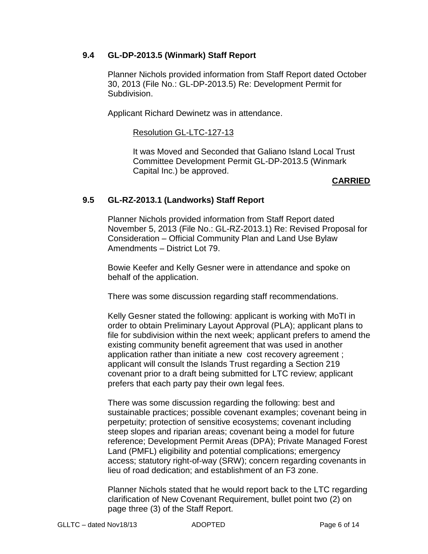# **9.4 GL-DP-2013.5 (Winmark) Staff Report**

Planner Nichols provided information from Staff Report dated October 30, 2013 (File No.: GL-DP-2013.5) Re: Development Permit for Subdivision.

Applicant Richard Dewinetz was in attendance.

## Resolution GL-LTC-127-13

It was Moved and Seconded that Galiano Island Local Trust Committee Development Permit GL-DP-2013.5 (Winmark Capital Inc.) be approved.

## **CARRIED**

## **9.5 GL-RZ-2013.1 (Landworks) Staff Report**

Planner Nichols provided information from Staff Report dated November 5, 2013 (File No.: GL-RZ-2013.1) Re: Revised Proposal for Consideration – Official Community Plan and Land Use Bylaw Amendments – District Lot 79.

Bowie Keefer and Kelly Gesner were in attendance and spoke on behalf of the application.

There was some discussion regarding staff recommendations.

Kelly Gesner stated the following: applicant is working with MoTI in order to obtain Preliminary Layout Approval (PLA); applicant plans to file for subdivision within the next week; applicant prefers to amend the existing community benefit agreement that was used in another application rather than initiate a new cost recovery agreement ; applicant will consult the Islands Trust regarding a Section 219 covenant prior to a draft being submitted for LTC review; applicant prefers that each party pay their own legal fees.

There was some discussion regarding the following: best and sustainable practices; possible covenant examples; covenant being in perpetuity; protection of sensitive ecosystems; covenant including steep slopes and riparian areas; covenant being a model for future reference; Development Permit Areas (DPA); Private Managed Forest Land (PMFL) eligibility and potential complications; emergency access; statutory right-of-way (SRW); concern regarding covenants in lieu of road dedication; and establishment of an F3 zone.

Planner Nichols stated that he would report back to the LTC regarding clarification of New Covenant Requirement, bullet point two (2) on page three (3) of the Staff Report.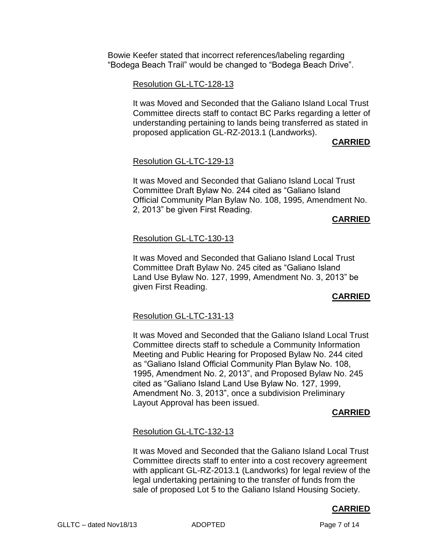Bowie Keefer stated that incorrect references/labeling regarding "Bodega Beach Trail" would be changed to "Bodega Beach Drive".

## Resolution GL-LTC-128-13

It was Moved and Seconded that the Galiano Island Local Trust Committee directs staff to contact BC Parks regarding a letter of understanding pertaining to lands being transferred as stated in proposed application GL-RZ-2013.1 (Landworks).

## **CARRIED**

## Resolution GL-LTC-129-13

It was Moved and Seconded that Galiano Island Local Trust Committee Draft Bylaw No. 244 cited as "Galiano Island Official Community Plan Bylaw No. 108, 1995, Amendment No. 2, 2013" be given First Reading.

#### **CARRIED**

## Resolution GL-LTC-130-13

It was Moved and Seconded that Galiano Island Local Trust Committee Draft Bylaw No. 245 cited as "Galiano Island Land Use Bylaw No. 127, 1999, Amendment No. 3, 2013" be given First Reading.

#### **CARRIED**

## Resolution GL-LTC-131-13

It was Moved and Seconded that the Galiano Island Local Trust Committee directs staff to schedule a Community Information Meeting and Public Hearing for Proposed Bylaw No. 244 cited as "Galiano Island Official Community Plan Bylaw No. 108, 1995, Amendment No. 2, 2013", and Proposed Bylaw No. 245 cited as "Galiano Island Land Use Bylaw No. 127, 1999, Amendment No. 3, 2013", once a subdivision Preliminary Layout Approval has been issued.

#### **CARRIED**

## Resolution GL-LTC-132-13

It was Moved and Seconded that the Galiano Island Local Trust Committee directs staff to enter into a cost recovery agreement with applicant GL-RZ-2013.1 (Landworks) for legal review of the legal undertaking pertaining to the transfer of funds from the sale of proposed Lot 5 to the Galiano Island Housing Society.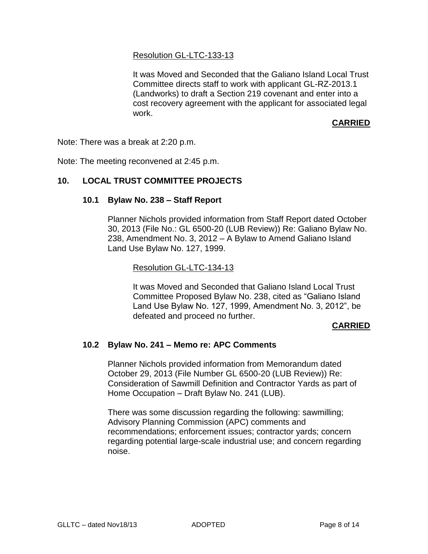## Resolution GL-LTC-133-13

It was Moved and Seconded that the Galiano Island Local Trust Committee directs staff to work with applicant GL-RZ-2013.1 (Landworks) to draft a Section 219 covenant and enter into a cost recovery agreement with the applicant for associated legal work.

## **CARRIED**

Note: There was a break at 2:20 p.m.

Note: The meeting reconvened at 2:45 p.m.

## **10. LOCAL TRUST COMMITTEE PROJECTS**

#### **10.1 Bylaw No. 238 – Staff Report**

Planner Nichols provided information from Staff Report dated October 30, 2013 (File No.: GL 6500-20 (LUB Review)) Re: Galiano Bylaw No. 238, Amendment No. 3, 2012 – A Bylaw to Amend Galiano Island Land Use Bylaw No. 127, 1999.

#### Resolution GL-LTC-134-13

It was Moved and Seconded that Galiano Island Local Trust Committee Proposed Bylaw No. 238, cited as "Galiano Island Land Use Bylaw No. 127, 1999, Amendment No. 3, 2012", be defeated and proceed no further.

#### **CARRIED**

#### **10.2 Bylaw No. 241 – Memo re: APC Comments**

Planner Nichols provided information from Memorandum dated October 29, 2013 (File Number GL 6500-20 (LUB Review)) Re: Consideration of Sawmill Definition and Contractor Yards as part of Home Occupation – Draft Bylaw No. 241 (LUB).

There was some discussion regarding the following: sawmilling; Advisory Planning Commission (APC) comments and recommendations; enforcement issues; contractor yards; concern regarding potential large-scale industrial use; and concern regarding noise.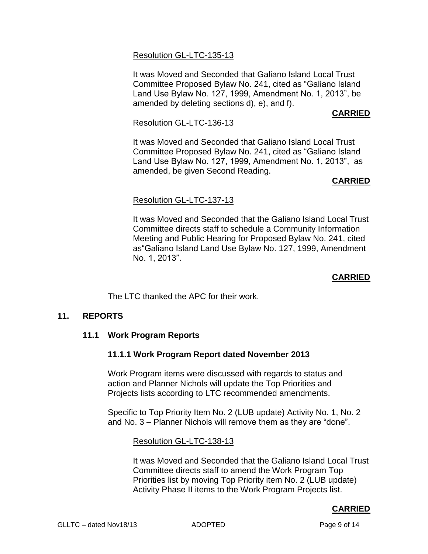## Resolution GL-LTC-135-13

It was Moved and Seconded that Galiano Island Local Trust Committee Proposed Bylaw No. 241, cited as "Galiano Island Land Use Bylaw No. 127, 1999, Amendment No. 1, 2013", be amended by deleting sections d), e), and f).

## **CARRIED**

#### Resolution GL-LTC-136-13

It was Moved and Seconded that Galiano Island Local Trust Committee Proposed Bylaw No. 241, cited as "Galiano Island Land Use Bylaw No. 127, 1999, Amendment No. 1, 2013", as amended, be given Second Reading.

## **CARRIED**

## Resolution GL-LTC-137-13

It was Moved and Seconded that the Galiano Island Local Trust Committee directs staff to schedule a Community Information Meeting and Public Hearing for Proposed Bylaw No. 241, cited as"Galiano Island Land Use Bylaw No. 127, 1999, Amendment No. 1, 2013".

# **CARRIED**

The LTC thanked the APC for their work.

#### **11. REPORTS**

## **11.1 Work Program Reports**

## **11.1.1 Work Program Report dated November 2013**

Work Program items were discussed with regards to status and action and Planner Nichols will update the Top Priorities and Projects lists according to LTC recommended amendments.

Specific to Top Priority Item No. 2 (LUB update) Activity No. 1, No. 2 and No. 3 – Planner Nichols will remove them as they are "done".

Resolution GL-LTC-138-13

It was Moved and Seconded that the Galiano Island Local Trust Committee directs staff to amend the Work Program Top Priorities list by moving Top Priority item No. 2 (LUB update) Activity Phase II items to the Work Program Projects list.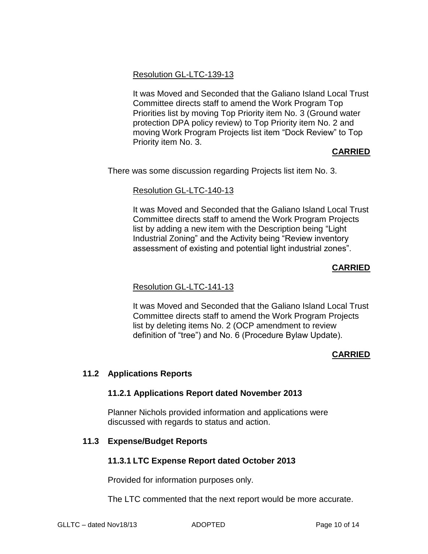# Resolution GL-LTC-139-13

It was Moved and Seconded that the Galiano Island Local Trust Committee directs staff to amend the Work Program Top Priorities list by moving Top Priority item No. 3 (Ground water protection DPA policy review) to Top Priority item No. 2 and moving Work Program Projects list item "Dock Review" to Top Priority item No. 3.

# **CARRIED**

There was some discussion regarding Projects list item No. 3.

# Resolution GL-LTC-140-13

It was Moved and Seconded that the Galiano Island Local Trust Committee directs staff to amend the Work Program Projects list by adding a new item with the Description being "Light Industrial Zoning" and the Activity being "Review inventory assessment of existing and potential light industrial zones".

# **CARRIED**

# Resolution GL-LTC-141-13

It was Moved and Seconded that the Galiano Island Local Trust Committee directs staff to amend the Work Program Projects list by deleting items No. 2 (OCP amendment to review definition of "tree") and No. 6 (Procedure Bylaw Update).

# **CARRIED**

## **11.2 Applications Reports**

## **11.2.1 Applications Report dated November 2013**

Planner Nichols provided information and applications were discussed with regards to status and action.

# **11.3 Expense/Budget Reports**

# **11.3.1 LTC Expense Report dated October 2013**

Provided for information purposes only.

The LTC commented that the next report would be more accurate.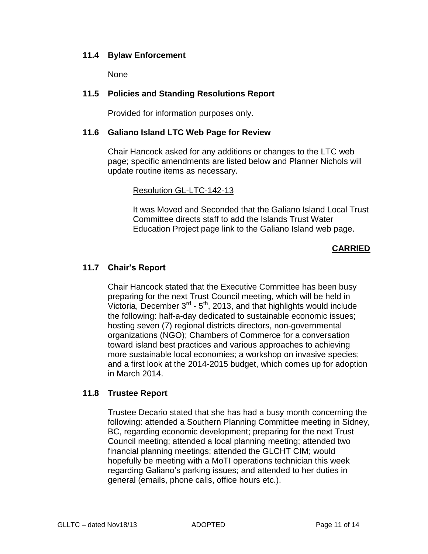## **11.4 Bylaw Enforcement**

None

## **11.5 Policies and Standing Resolutions Report**

Provided for information purposes only.

## **11.6 Galiano Island LTC Web Page for Review**

Chair Hancock asked for any additions or changes to the LTC web page; specific amendments are listed below and Planner Nichols will update routine items as necessary.

## Resolution GL-LTC-142-13

It was Moved and Seconded that the Galiano Island Local Trust Committee directs staff to add the Islands Trust Water Education Project page link to the Galiano Island web page.

# **CARRIED**

## **11.7 Chair's Report**

Chair Hancock stated that the Executive Committee has been busy preparing for the next Trust Council meeting, which will be held in Victoria, December 3<sup>rd</sup> - 5<sup>th</sup>, 2013, and that highlights would include the following: half-a-day dedicated to sustainable economic issues; hosting seven (7) regional districts directors, non-governmental organizations (NGO); Chambers of Commerce for a conversation toward island best practices and various approaches to achieving more sustainable local economies; a workshop on invasive species; and a first look at the 2014-2015 budget, which comes up for adoption in March 2014.

## **11.8 Trustee Report**

Trustee Decario stated that she has had a busy month concerning the following: attended a Southern Planning Committee meeting in Sidney, BC, regarding economic development; preparing for the next Trust Council meeting; attended a local planning meeting; attended two financial planning meetings; attended the GLCHT CIM; would hopefully be meeting with a MoTI operations technician this week regarding Galiano's parking issues; and attended to her duties in general (emails, phone calls, office hours etc.).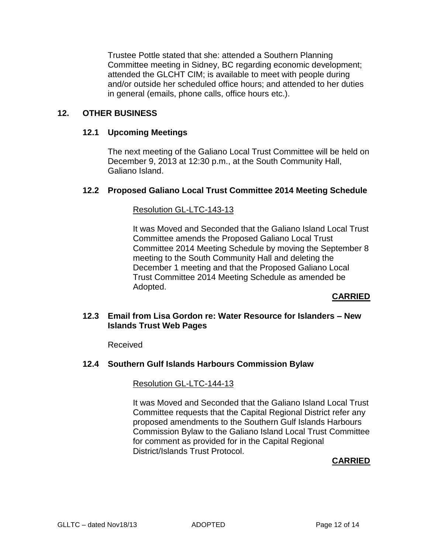Trustee Pottle stated that she: attended a Southern Planning Committee meeting in Sidney, BC regarding economic development; attended the GLCHT CIM; is available to meet with people during and/or outside her scheduled office hours; and attended to her duties in general (emails, phone calls, office hours etc.).

## **12. OTHER BUSINESS**

## **12.1 Upcoming Meetings**

The next meeting of the Galiano Local Trust Committee will be held on December 9, 2013 at 12:30 p.m., at the South Community Hall, Galiano Island.

## **12.2 Proposed Galiano Local Trust Committee 2014 Meeting Schedule**

## Resolution GL-LTC-143-13

It was Moved and Seconded that the Galiano Island Local Trust Committee amends the Proposed Galiano Local Trust Committee 2014 Meeting Schedule by moving the September 8 meeting to the South Community Hall and deleting the December 1 meeting and that the Proposed Galiano Local Trust Committee 2014 Meeting Schedule as amended be Adopted.

## **CARRIED**

## **12.3 Email from Lisa Gordon re: Water Resource for Islanders – New Islands Trust Web Pages**

Received

#### **12.4 Southern Gulf Islands Harbours Commission Bylaw**

#### Resolution GL-LTC-144-13

It was Moved and Seconded that the Galiano Island Local Trust Committee requests that the Capital Regional District refer any proposed amendments to the Southern Gulf Islands Harbours Commission Bylaw to the Galiano Island Local Trust Committee for comment as provided for in the Capital Regional District/Islands Trust Protocol.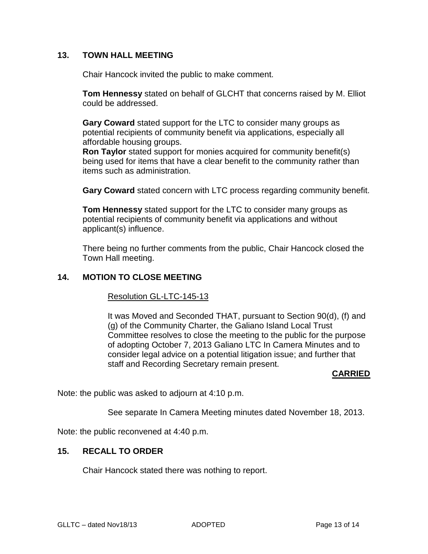# **13. TOWN HALL MEETING**

Chair Hancock invited the public to make comment.

**Tom Hennessy** stated on behalf of GLCHT that concerns raised by M. Elliot could be addressed.

**Gary Coward** stated support for the LTC to consider many groups as potential recipients of community benefit via applications, especially all affordable housing groups.

**Ron Taylor** stated support for monies acquired for community benefit(s) being used for items that have a clear benefit to the community rather than items such as administration.

**Gary Coward** stated concern with LTC process regarding community benefit.

**Tom Hennessy** stated support for the LTC to consider many groups as potential recipients of community benefit via applications and without applicant(s) influence.

There being no further comments from the public, Chair Hancock closed the Town Hall meeting.

# **14. MOTION TO CLOSE MEETING**

#### Resolution GL-LTC-145-13

It was Moved and Seconded THAT, pursuant to Section 90(d), (f) and (g) of the Community Charter, the Galiano Island Local Trust Committee resolves to close the meeting to the public for the purpose of adopting October 7, 2013 Galiano LTC In Camera Minutes and to consider legal advice on a potential litigation issue; and further that staff and Recording Secretary remain present.

## **CARRIED**

Note: the public was asked to adjourn at 4:10 p.m.

See separate In Camera Meeting minutes dated November 18, 2013.

Note: the public reconvened at 4:40 p.m.

# **15. RECALL TO ORDER**

Chair Hancock stated there was nothing to report.